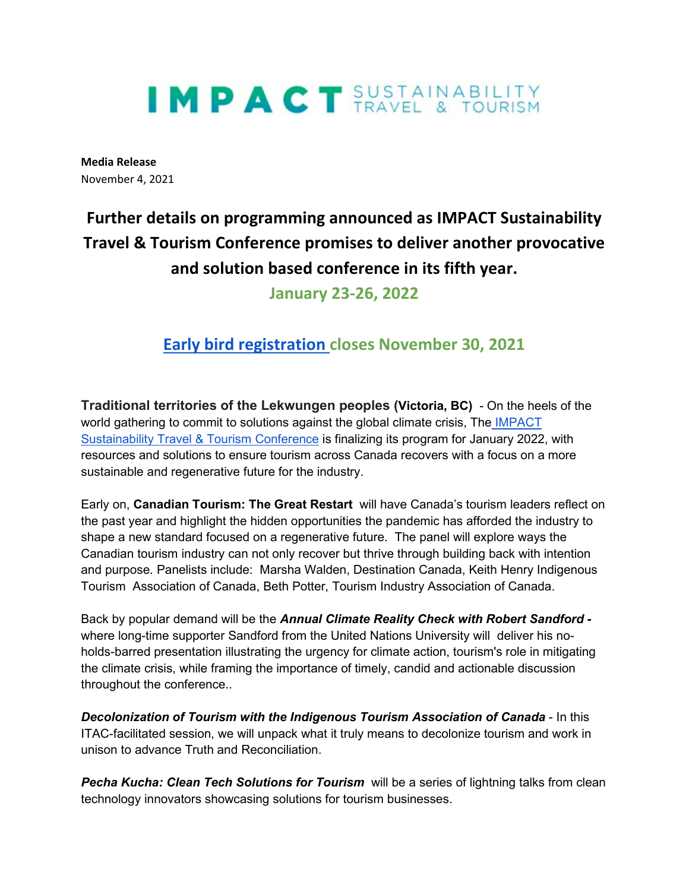# IMPACT SUSTAINABILITY

**Media Release** November 4, 2021

## **Further details on programming announced as IMPACT Sustainability Travel & Tourism Conference promises to deliver another provocative and solution based conference in its fifth year.**

**January 23-26, 2022**

### **[Early bird registration c](https://www.eventsforce.net/dgv/frontend/reg/home.csp?pageID=298&eventID=3&traceRedir=2)loses November 30, 2021**

**Traditional territories of the Lekwungen peoples (Victoria, BC)** - On the heels of the world gathering to commit to solutions against the global climate crisis, The IMPACT [Sustainability Travel & Tourism Conference](https://www.tourismvictoria.com/impact) is finalizing its program for January 2022, with resources and solutions to ensure tourism across Canada recovers with a focus on a more sustainable and regenerative future for the industry.

Early on, **Canadian Tourism: The Great Restart** will have Canada's tourism leaders reflect on the past year and highlight the hidden opportunities the pandemic has afforded the industry to shape a new standard focused on a regenerative future. The panel will explore ways the Canadian tourism industry can not only recover but thrive through building back with intention and purpose. Panelists include: Marsha Walden, Destination Canada, Keith Henry Indigenous Tourism Association of Canada, Beth Potter, Tourism Industry Association of Canada.

Back by popular demand will be the *Annual Climate Reality Check with Robert Sandford*  where long-time supporter Sandford from the United Nations University will deliver his noholds-barred presentation illustrating the urgency for climate action, tourism's role in mitigating the climate crisis, while framing the importance of timely, candid and actionable discussion throughout the conference..

*Decolonization of Tourism with the Indigenous Tourism Association of Canada* - In this ITAC-facilitated session, we will unpack what it truly means to decolonize tourism and work in unison to advance Truth and Reconciliation.

**Pecha Kucha: Clean Tech Solutions for Tourism** will be a series of lightning talks from clean technology innovators showcasing solutions for tourism businesses.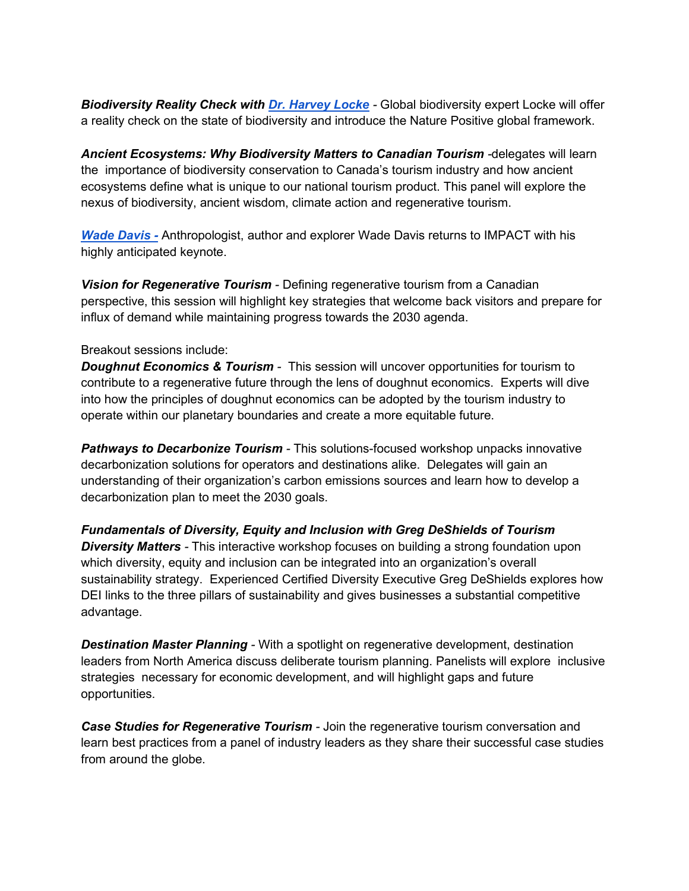*Biodiversity Reality Check with [Dr. Harvey Locke](https://harveylocke.com/) -* Global biodiversity expert Locke will offer a reality check on the state of biodiversity and introduce the Nature Positive global framework.

Ancient Ecosystems: Why Biodiversity Matters to Canadian Tourism -delegates will learn the importance of biodiversity conservation to Canada's tourism industry and how ancient ecosystems define what is unique to our national tourism product. This panel will explore the nexus of biodiversity, ancient wisdom, climate action and regenerative tourism.

*[Wade Davis -](https://daviswade.com/)* Anthropologist, author and explorer Wade Davis returns to IMPACT with his highly anticipated keynote.

*Vision for Regenerative Tourism -* Defining regenerative tourism from a Canadian perspective, this session will highlight key strategies that welcome back visitors and prepare for influx of demand while maintaining progress towards the 2030 agenda.

#### Breakout sessions include:

*Doughnut Economics & Tourism -* This session will uncover opportunities for tourism to contribute to a regenerative future through the lens of doughnut economics. Experts will dive into how the principles of doughnut economics can be adopted by the tourism industry to operate within our planetary boundaries and create a more equitable future.

*Pathways to Decarbonize Tourism -* This solutions-focused workshop unpacks innovative decarbonization solutions for operators and destinations alike. Delegates will gain an understanding of their organization's carbon emissions sources and learn how to develop a decarbonization plan to meet the 2030 goals.

*Fundamentals of Diversity, Equity and Inclusion with Greg DeShields of Tourism Diversity Matters -* This interactive workshop focuses on building a strong foundation upon which diversity, equity and inclusion can be integrated into an organization's overall sustainability strategy. Experienced Certified Diversity Executive Greg DeShields explores how DEI links to the three pillars of sustainability and gives businesses a substantial competitive advantage.

*Destination Master Planning -* With a spotlight on regenerative development, destination leaders from North America discuss deliberate tourism planning. Panelists will explore inclusive strategies necessary for economic development, and will highlight gaps and future opportunities.

*Case Studies for Regenerative Tourism -* Join the regenerative tourism conversation and learn best practices from a panel of industry leaders as they share their successful case studies from around the globe.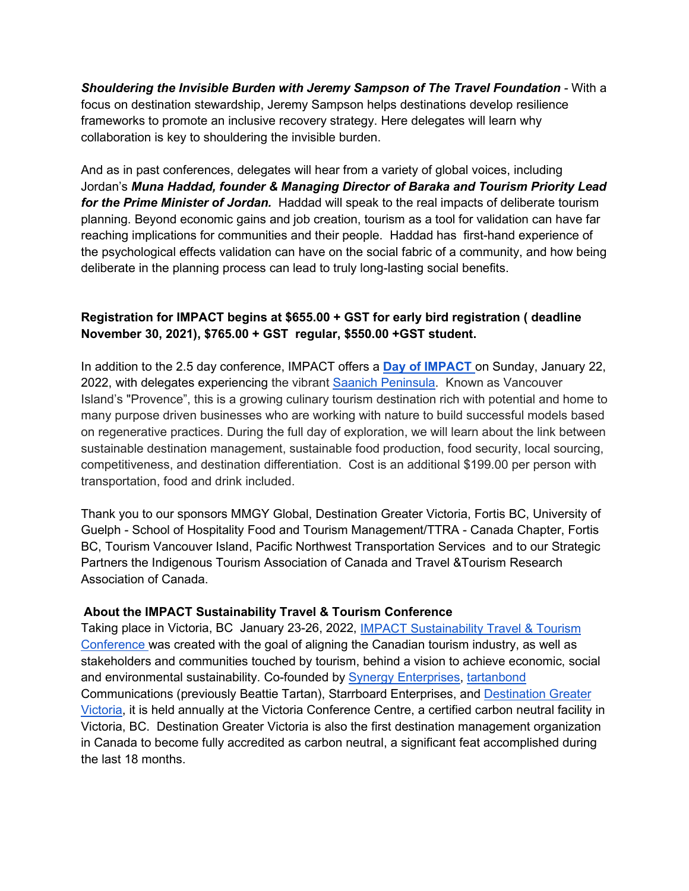*Shouldering the Invisible Burden with Jeremy Sampson of The Travel Foundation -* With a focus on destination stewardship, Jeremy Sampson helps destinations develop resilience frameworks to promote an inclusive recovery strategy. Here delegates will learn why collaboration is key to shouldering the invisible burden.

And as in past conferences, delegates will hear from a variety of global voices, including Jordan's *Muna Haddad, founder & Managing Director of Baraka and Tourism Priority Lead for the Prime Minister of Jordan.* Haddad will speak to the real impacts of deliberate tourism planning. Beyond economic gains and job creation, tourism as a tool for validation can have far reaching implications for communities and their people. Haddad has first-hand experience of the psychological effects validation can have on the social fabric of a community, and how being deliberate in the planning process can lead to truly long-lasting social benefits.

#### **Registration for IMPACT begins at \$655.00 + GST for early bird registration ( deadline November 30, 2021), \$765.00 + GST regular, \$550.00 +GST student.**

In addition to the 2.5 day conference, IMPACT offers a **[Day of IMPACT](https://www.tourismvictoria.com/impact/day-impact)** on Sunday, January 22, 2022, with delegates experiencing the vibrant [Saanich Peninsula.](https://www.tourismvictoria.com/plan/local-info/greater-victoria/saanich) Known as Vancouver Island's "Provence", this is a growing culinary tourism destination rich with potential and home to many purpose driven businesses who are working with nature to build successful models based on regenerative practices. During the full day of exploration, we will learn about the link between sustainable destination management, sustainable food production, food security, local sourcing, competitiveness, and destination differentiation. Cost is an additional \$199.00 per person with transportation, food and drink included.

Thank you to our sponsors MMGY Global, Destination Greater Victoria, Fortis BC, University of Guelph - School of Hospitality Food and Tourism Management/TTRA - Canada Chapter, Fortis BC, Tourism Vancouver Island, Pacific Northwest Transportation Services and to our Strategic Partners the Indigenous Tourism Association of Canada and Travel &Tourism Research Association of Canada.

#### **About the IMPACT Sustainability Travel & Tourism Conference**

Taking place in Victoria, BC January 23-26, 2022, [IMPACT Sustainability Travel & Tourism](https://www.tourismvictoria.com/impact)  [Conference w](https://www.tourismvictoria.com/impact)as created with the goal of aligning the Canadian tourism industry, as well as stakeholders and communities touched by tourism, behind a vision to achieve economic, social and environmental sustainability. Co-founded by [Synergy Enterprises,](https://www.synergyenterprises.ca/) [tartanbond](https://www.tartanbond.ca/)  Communications (previously Beattie Tartan), Starrboard Enterprises, and [Destination Greater](https://www.tourismvictoria.com/)  [Victoria,](https://www.tourismvictoria.com/) it is held annually at the Victoria Conference Centre, a certified carbon neutral facility in Victoria, BC. Destination Greater Victoria is also the first destination management organization in Canada to become fully accredited as carbon neutral, a significant feat accomplished during the last 18 months.